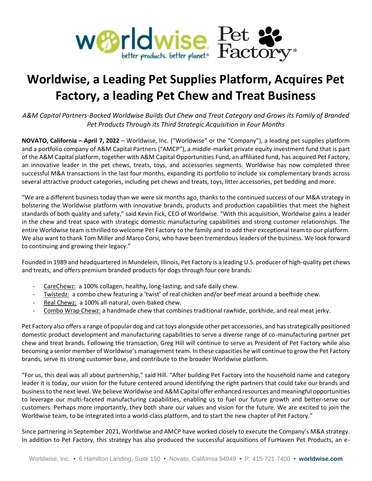

## **Worldwise, a Leading Pet Supplies Platform, Acquires Pet Factory, a leading Pet Chew and Treat Business**

*A&M Capital Partners-Backed Worldwise Builds Out Chew and Treat Category and Grows its Family of Branded Pet Products Through its Third Strategic Acquisition in Four Months*

**NOVATO, California – April 7, 2022** – Worldwise, Inc. ("Worldwise" or the "Company"), a leading pet supplies platform and a portfolio company of A&M Capital Partners ("AMCP"), a middle-market private equity investment fund that is part of the A&M Capital platform, together with A&M Capital Opportunities Fund, an affiliated fund, has acquired Pet Factory, an innovative leader in the pet chews, treats, toys, and accessories segments. Worldwise has now completed three successful M&A transactions in the last four months, expanding its portfolio to include six complementary brands across several attractive product categories, including pet chews and treats, toys, litter accessories, pet bedding and more.

"We are a different business today than we were six months ago, thanks to the continued success of our M&A strategy in bolstering the Worldwise platform with innovative brands, products and production capabilities that meet the highest standards of both quality and safety," said Kevin Fick, CEO of Worldwise. "With this acquisition, Worldwise gains a leader in the chew and treat space with strategic domestic manufacturing capabilities and strong customer relationships. The entire Worldwise team is thrilled to welcome Pet Factory to the family and to add their exceptional team to our platform. We also want to thank Tom Miller and Marco Corsi, who have been tremendous leaders of the business. We look forward to continuing and growing their legacy."

Founded in 1989 and headquartered in Mundelein, Illinois, Pet Factory is a leading U.S. producer of high-quality pet chews and treats, and offers premium branded products for dogs through four core brands:

- CareChewz: a 100% collagen, healthy, long-lasting, and safe daily chew.
- Twistedz: a combo chew featuring a 'twist' of real chicken and/or beef meat around a beefhide chew.
- Real Chewz: a 100% all-natural, oven-baked chew.
- Combo Wrap Chewz: a handmade chew that combines traditional rawhide, porkhide, and real meat jerky.

Pet Factory also offers a range of popular dog and cat toys alongside other pet accessories, and has strategically positioned domestic product development and manufacturing capabilities to serve a diverse range of co-manufacturing partner pet chew and treat brands. Following the transaction, Greg Hill will continue to serve as President of Pet Factory while also becoming a senior member of Worldwise's management team. In these capacities he will continue to grow the Pet Factory brands, serve its strong customer base, and contribute to the broader Worldwise platform.

"For us, this deal was all about partnership," said Hill. "After building Pet Factory into the household name and category leader it is today, our vision for the future centered around identifying the right partners that could take our brands and business to the next level. We believe Worldwise and A&M Capital offer enhanced resources and meaningful opportunities to leverage our multi-faceted manufacturing capabilities, enabling us to fuel our future growth and better-serve our customers. Perhaps more importantly, they both share our values and vision for the future. We are excited to join the Worldwise team, to be integrated into a world-class platform, and to start the new chapter of Pet Factory."

Since partnering in September 2021, Worldwise and AMCP have worked closely to execute the Company's M&A strategy. In addition to Pet Factory, this strategy has also produced the successful acquisitions of FurHaven Pet Products, an e